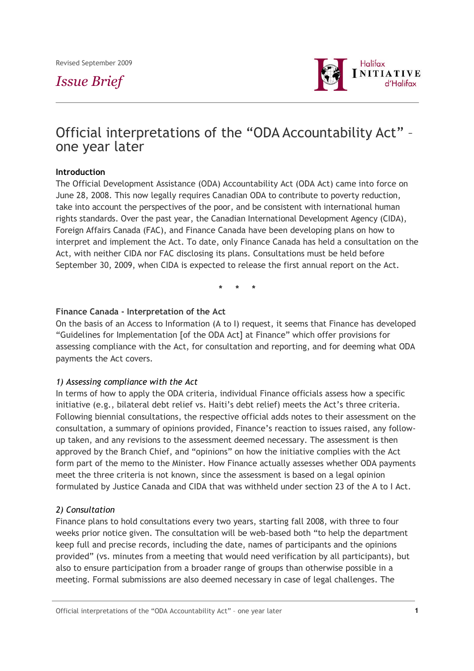# *Issue Brief*



# Official interpretations of the "ODA Accountability Act" – one year later

## **Introduction**

The Official Development Assistance (ODA) Accountability Act (ODA Act) came into force on June 28, 2008. This now legally requires Canadian ODA to contribute to poverty reduction, take into account the perspectives of the poor, and be consistent with international human rights standards. Over the past year, the Canadian International Development Agency (CIDA), Foreign Affairs Canada (FAC), and Finance Canada have been developing plans on how to interpret and implement the Act. To date, only Finance Canada has held a consultation on the Act, with neither CIDA nor FAC disclosing its plans. Consultations must be held before September 30, 2009, when CIDA is expected to release the first annual report on the Act.

**\* \* \***

## **Finance Canada - Interpretation of the Act**

On the basis of an Access to Information (A to I) request, it seems that Finance has developed "Guidelines for Implementation [of the ODA Act] at Finance" which offer provisions for assessing compliance with the Act, for consultation and reporting, and for deeming what ODA payments the Act covers.

## *1) Assessing compliance with the Act*

In terms of how to apply the ODA criteria, individual Finance officials assess how a specific initiative (e.g., bilateral debt relief vs. Haiti's debt relief) meets the Act's three criteria. Following biennial consultations, the respective official adds notes to their assessment on the consultation, a summary of opinions provided, Finance's reaction to issues raised, any followup taken, and any revisions to the assessment deemed necessary. The assessment is then approved by the Branch Chief, and "opinions" on how the initiative complies with the Act form part of the memo to the Minister. How Finance actually assesses whether ODA payments meet the three criteria is not known, since the assessment is based on a legal opinion formulated by Justice Canada and CIDA that was withheld under section 23 of the A to I Act.

## *2) Consultation*

Finance plans to hold consultations every two years, starting fall 2008, with three to four weeks prior notice given. The consultation will be web-based both "to help the department keep full and precise records, including the date, names of participants and the opinions provided" (vs. minutes from a meeting that would need verification by all participants), but also to ensure participation from a broader range of groups than otherwise possible in a meeting. Formal submissions are also deemed necessary in case of legal challenges. The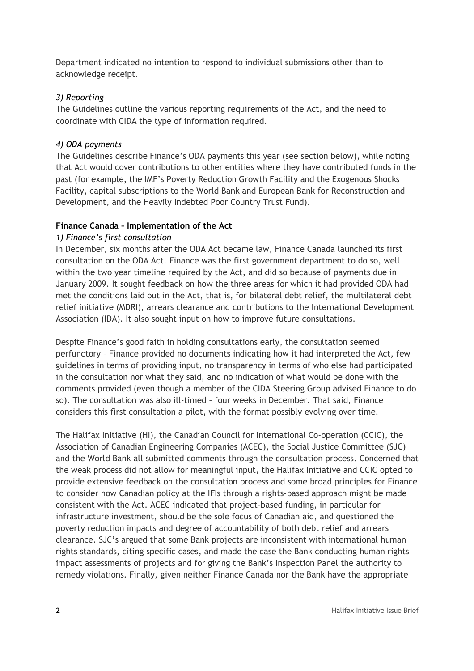Department indicated no intention to respond to individual submissions other than to acknowledge receipt.

# *3) Reporting*

The Guidelines outline the various reporting requirements of the Act, and the need to coordinate with CIDA the type of information required.

# *4) ODA payments*

The Guidelines describe Finance's ODA payments this year (see section below), while noting that Act would cover contributions to other entities where they have contributed funds in the past (for example, the IMF's Poverty Reduction Growth Facility and the Exogenous Shocks Facility, capital subscriptions to the World Bank and European Bank for Reconstruction and Development, and the Heavily Indebted Poor Country Trust Fund).

# **Finance Canada – Implementation of the Act**

# *1) Finance's first consultation*

In December, six months after the ODA Act became law, Finance Canada launched its first consultation on the ODA Act. Finance was the first government department to do so, well within the two year timeline required by the Act, and did so because of payments due in January 2009. It sought feedback on how the three areas for which it had provided ODA had met the conditions laid out in the Act, that is, for bilateral debt relief, the multilateral debt relief initiative (MDRI), arrears clearance and contributions to the International Development Association (IDA). It also sought input on how to improve future consultations.

Despite Finance's good faith in holding consultations early, the consultation seemed perfunctory – Finance provided no documents indicating how it had interpreted the Act, few guidelines in terms of providing input, no transparency in terms of who else had participated in the consultation nor what they said, and no indication of what would be done with the comments provided (even though a member of the CIDA Steering Group advised Finance to do so). The consultation was also ill-timed – four weeks in December. That said, Finance considers this first consultation a pilot, with the format possibly evolving over time.

The Halifax Initiative (HI), the Canadian Council for International Co-operation (CCIC), the Association of Canadian Engineering Companies (ACEC), the Social Justice Committee (SJC) and the World Bank all submitted comments through the consultation process. Concerned that the weak process did not allow for meaningful input, the Halifax Initiative and CCIC opted to provide extensive feedback on the consultation process and some broad principles for Finance to consider how Canadian policy at the IFIs through a rights-based approach might be made consistent with the Act. ACEC indicated that project-based funding, in particular for infrastructure investment, should be the sole focus of Canadian aid, and questioned the poverty reduction impacts and degree of accountability of both debt relief and arrears clearance. SJC's argued that some Bank projects are inconsistent with international human rights standards, citing specific cases, and made the case the Bank conducting human rights impact assessments of projects and for giving the Bank's Inspection Panel the authority to remedy violations. Finally, given neither Finance Canada nor the Bank have the appropriate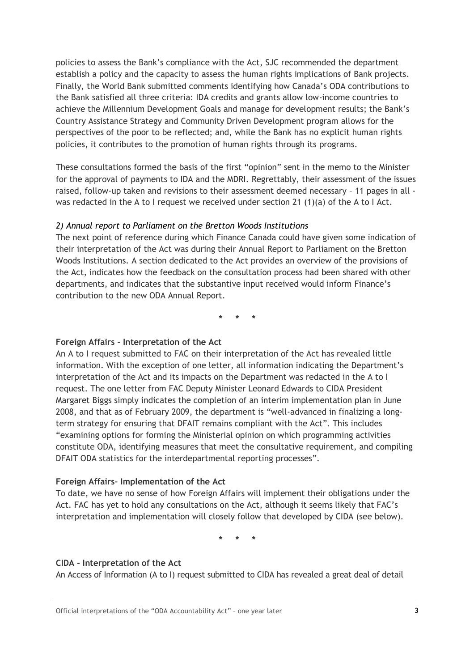policies to assess the Bank's compliance with the Act, SJC recommended the department establish a policy and the capacity to assess the human rights implications of Bank projects. Finally, the World Bank submitted comments identifying how Canada's ODA contributions to the Bank satisfied all three criteria: IDA credits and grants allow low-income countries to achieve the Millennium Development Goals and manage for development results; the Bank's Country Assistance Strategy and Community Driven Development program allows for the perspectives of the poor to be reflected; and, while the Bank has no explicit human rights policies, it contributes to the promotion of human rights through its programs.

These consultations formed the basis of the first "opinion" sent in the memo to the Minister for the approval of payments to IDA and the MDRI. Regrettably, their assessment of the issues raised, follow-up taken and revisions to their assessment deemed necessary – 11 pages in all was redacted in the A to I request we received under section 21 (1)(a) of the A to I Act.

## *2) Annual report to Parliament on the Bretton Woods Institutions*

The next point of reference during which Finance Canada could have given some indication of their interpretation of the Act was during their Annual Report to Parliament on the Bretton Woods Institutions. A section dedicated to the Act provides an overview of the provisions of the Act, indicates how the feedback on the consultation process had been shared with other departments, and indicates that the substantive input received would inform Finance's contribution to the new ODA Annual Report.

**\* \* \***

## **Foreign Affairs - Interpretation of the Act**

An A to I request submitted to FAC on their interpretation of the Act has revealed little information. With the exception of one letter, all information indicating the Department's interpretation of the Act and its impacts on the Department was redacted in the A to I request. The one letter from FAC Deputy Minister Leonard Edwards to CIDA President Margaret Biggs simply indicates the completion of an interim implementation plan in June 2008, and that as of February 2009, the department is "well-advanced in finalizing a longterm strategy for ensuring that DFAIT remains compliant with the Act". This includes "examining options for forming the Ministerial opinion on which programming activities constitute ODA, identifying measures that meet the consultative requirement, and compiling DFAIT ODA statistics for the interdepartmental reporting processes".

## **Foreign Affairs– Implementation of the Act**

To date, we have no sense of how Foreign Affairs will implement their obligations under the Act. FAC has yet to hold any consultations on the Act, although it seems likely that FAC's interpretation and implementation will closely follow that developed by CIDA (see below).

**\* \* \***

## **CIDA - Interpretation of the Act**

An Access of Information (A to I) request submitted to CIDA has revealed a great deal of detail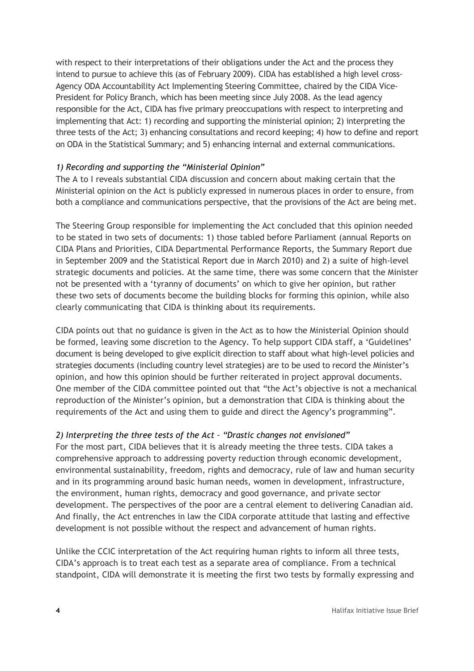with respect to their interpretations of their obligations under the Act and the process they intend to pursue to achieve this (as of February 2009). CIDA has established a high level cross-Agency ODA Accountability Act Implementing Steering Committee, chaired by the CIDA Vice-President for Policy Branch, which has been meeting since July 2008. As the lead agency responsible for the Act, CIDA has five primary preoccupations with respect to interpreting and implementing that Act: 1) recording and supporting the ministerial opinion; 2) interpreting the three tests of the Act; 3) enhancing consultations and record keeping; 4) how to define and report on ODA in the Statistical Summary; and 5) enhancing internal and external communications.

# *1) Recording and supporting the "Ministerial Opinion"*

The A to I reveals substantial CIDA discussion and concern about making certain that the Ministerial opinion on the Act is publicly expressed in numerous places in order to ensure, from both a compliance and communications perspective, that the provisions of the Act are being met.

The Steering Group responsible for implementing the Act concluded that this opinion needed to be stated in two sets of documents: 1) those tabled before Parliament (annual Reports on CIDA Plans and Priorities, CIDA Departmental Performance Reports, the Summary Report due in September 2009 and the Statistical Report due in March 2010) and 2) a suite of high-level strategic documents and policies. At the same time, there was some concern that the Minister not be presented with a 'tyranny of documents' on which to give her opinion, but rather these two sets of documents become the building blocks for forming this opinion, while also clearly communicating that CIDA is thinking about its requirements.

CIDA points out that no guidance is given in the Act as to how the Ministerial Opinion should be formed, leaving some discretion to the Agency. To help support CIDA staff, a 'Guidelines' document is being developed to give explicit direction to staff about what high-level policies and strategies documents (including country level strategies) are to be used to record the Minister's opinion, and how this opinion should be further reiterated in project approval documents. One member of the CIDA committee pointed out that "the Act's objective is not a mechanical reproduction of the Minister's opinion, but a demonstration that CIDA is thinking about the requirements of the Act and using them to guide and direct the Agency's programming".

# *2) Interpreting the three tests of the Act – "Drastic changes not envisioned"*

For the most part, CIDA believes that it is already meeting the three tests. CIDA takes a comprehensive approach to addressing poverty reduction through economic development, environmental sustainability, freedom, rights and democracy, rule of law and human security and in its programming around basic human needs, women in development, infrastructure, the environment, human rights, democracy and good governance, and private sector development. The perspectives of the poor are a central element to delivering Canadian aid. And finally, the Act entrenches in law the CIDA corporate attitude that lasting and effective development is not possible without the respect and advancement of human rights.

Unlike the CCIC interpretation of the Act requiring human rights to inform all three tests, CIDA's approach is to treat each test as a separate area of compliance. From a technical standpoint, CIDA will demonstrate it is meeting the first two tests by formally expressing and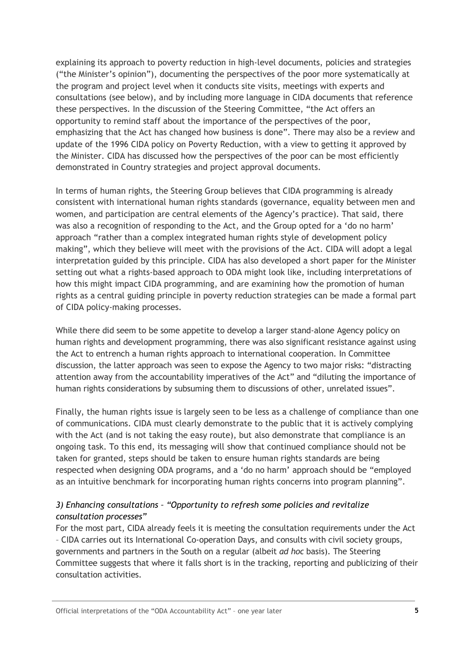explaining its approach to poverty reduction in high-level documents, policies and strategies ("the Minister's opinion"), documenting the perspectives of the poor more systematically at the program and project level when it conducts site visits, meetings with experts and consultations (see below), and by including more language in CIDA documents that reference these perspectives. In the discussion of the Steering Committee, "the Act offers an opportunity to remind staff about the importance of the perspectives of the poor, emphasizing that the Act has changed how business is done". There may also be a review and update of the 1996 CIDA policy on Poverty Reduction, with a view to getting it approved by the Minister. CIDA has discussed how the perspectives of the poor can be most efficiently demonstrated in Country strategies and project approval documents.

In terms of human rights, the Steering Group believes that CIDA programming is already consistent with international human rights standards (governance, equality between men and women, and participation are central elements of the Agency's practice). That said, there was also a recognition of responding to the Act, and the Group opted for a 'do no harm' approach "rather than a complex integrated human rights style of development policy making", which they believe will meet with the provisions of the Act. CIDA will adopt a legal interpretation guided by this principle. CIDA has also developed a short paper for the Minister setting out what a rights-based approach to ODA might look like, including interpretations of how this might impact CIDA programming, and are examining how the promotion of human rights as a central guiding principle in poverty reduction strategies can be made a formal part of CIDA policy-making processes.

While there did seem to be some appetite to develop a larger stand-alone Agency policy on human rights and development programming, there was also significant resistance against using the Act to entrench a human rights approach to international cooperation. In Committee discussion, the latter approach was seen to expose the Agency to two major risks: "distracting attention away from the accountability imperatives of the Act" and "diluting the importance of human rights considerations by subsuming them to discussions of other, unrelated issues".

Finally, the human rights issue is largely seen to be less as a challenge of compliance than one of communications. CIDA must clearly demonstrate to the public that it is actively complying with the Act (and is not taking the easy route), but also demonstrate that compliance is an ongoing task. To this end, its messaging will show that continued compliance should not be taken for granted, steps should be taken to ensure human rights standards are being respected when designing ODA programs, and a 'do no harm' approach should be "employed as an intuitive benchmark for incorporating human rights concerns into program planning".

# *3) Enhancing consultations – "Opportunity to refresh some policies and revitalize consultation processes"*

For the most part, CIDA already feels it is meeting the consultation requirements under the Act – CIDA carries out its International Co-operation Days, and consults with civil society groups, governments and partners in the South on a regular (albeit *ad hoc* basis). The Steering Committee suggests that where it falls short is in the tracking, reporting and publicizing of their consultation activities.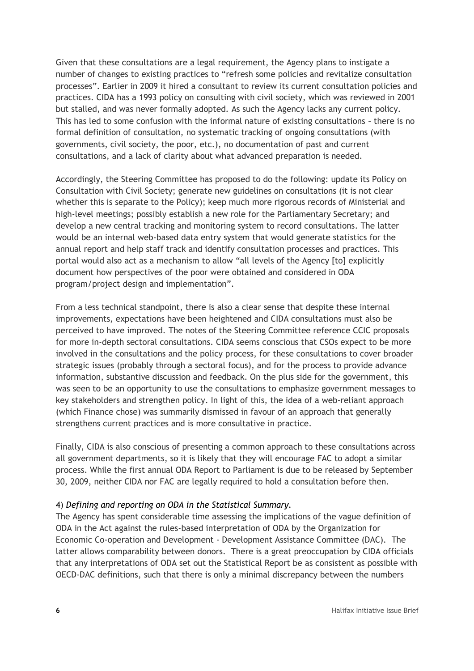Given that these consultations are a legal requirement, the Agency plans to instigate a number of changes to existing practices to "refresh some policies and revitalize consultation processes". Earlier in 2009 it hired a consultant to review its current consultation policies and practices. CIDA has a 1993 policy on consulting with civil society, which was reviewed in 2001 but stalled, and was never formally adopted. As such the Agency lacks any current policy. This has led to some confusion with the informal nature of existing consultations – there is no formal definition of consultation, no systematic tracking of ongoing consultations (with governments, civil society, the poor, etc.), no documentation of past and current consultations, and a lack of clarity about what advanced preparation is needed.

Accordingly, the Steering Committee has proposed to do the following: update its Policy on Consultation with Civil Society; generate new guidelines on consultations (it is not clear whether this is separate to the Policy); keep much more rigorous records of Ministerial and high-level meetings; possibly establish a new role for the Parliamentary Secretary; and develop a new central tracking and monitoring system to record consultations. The latter would be an internal web-based data entry system that would generate statistics for the annual report and help staff track and identify consultation processes and practices. This portal would also act as a mechanism to allow "all levels of the Agency [to] explicitly document how perspectives of the poor were obtained and considered in ODA program/project design and implementation".

From a less technical standpoint, there is also a clear sense that despite these internal improvements, expectations have been heightened and CIDA consultations must also be perceived to have improved. The notes of the Steering Committee reference CCIC proposals for more in-depth sectoral consultations. CIDA seems conscious that CSOs expect to be more involved in the consultations and the policy process, for these consultations to cover broader strategic issues (probably through a sectoral focus), and for the process to provide advance information, substantive discussion and feedback. On the plus side for the government, this was seen to be an opportunity to use the consultations to emphasize government messages to key stakeholders and strengthen policy. In light of this, the idea of a web-reliant approach (which Finance chose) was summarily dismissed in favour of an approach that generally strengthens current practices and is more consultative in practice.

Finally, CIDA is also conscious of presenting a common approach to these consultations across all government departments, so it is likely that they will encourage FAC to adopt a similar process. While the first annual ODA Report to Parliament is due to be released by September 30, 2009, neither CIDA nor FAC are legally required to hold a consultation before then.

## 4) *Defining and reporting on ODA in the Statistical Summary.*

The Agency has spent considerable time assessing the implications of the vague definition of ODA in the Act against the rules-based interpretation of ODA by the Organization for Economic Co-operation and Development - Development Assistance Committee (DAC). The latter allows comparability between donors. There is a great preoccupation by CIDA officials that any interpretations of ODA set out the Statistical Report be as consistent as possible with OECD-DAC definitions, such that there is only a minimal discrepancy between the numbers